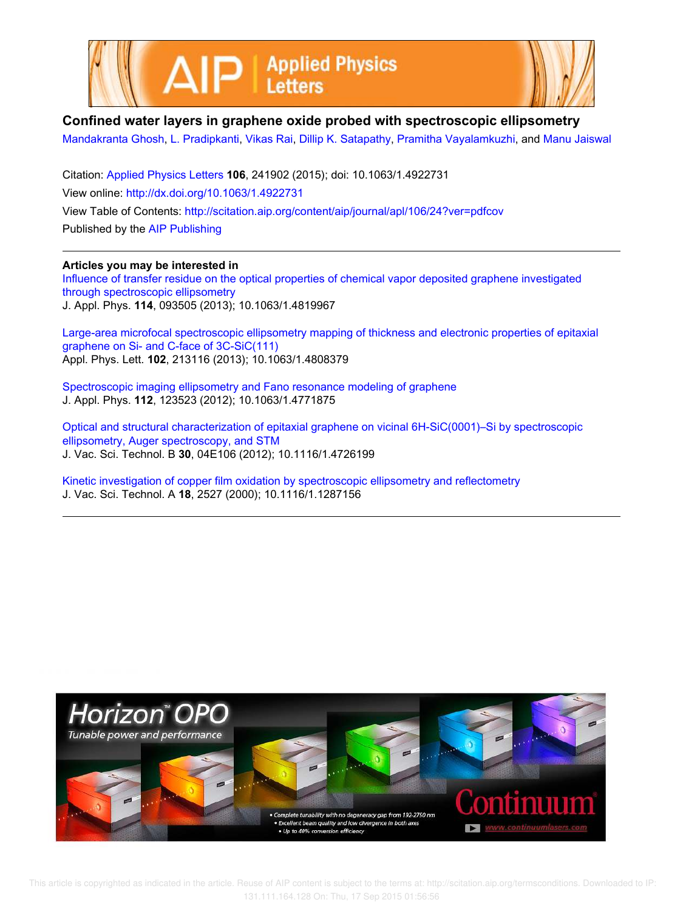



## **Confined water layers in graphene oxide probed with spectroscopic ellipsometry**

Mandakranta Ghosh, L. Pradipkanti, Vikas Rai, Dillip K. Satapathy, Pramitha Vayalamkuzhi, and Manu Jaiswal

Citation: Applied Physics Letters **106**, 241902 (2015); doi: 10.1063/1.4922731 View online: http://dx.doi.org/10.1063/1.4922731 View Table of Contents: http://scitation.aip.org/content/aip/journal/apl/106/24?ver=pdfcov Published by the AIP Publishing

## **Articles you may be interested in**

Influence of transfer residue on the optical properties of chemical vapor deposited graphene investigated through spectroscopic ellipsometry J. Appl. Phys. **114**, 093505 (2013); 10.1063/1.4819967

Large-area microfocal spectroscopic ellipsometry mapping of thickness and electronic properties of epitaxial graphene on Si- and C-face of 3C-SiC(111) Appl. Phys. Lett. **102**, 213116 (2013); 10.1063/1.4808379

Spectroscopic imaging ellipsometry and Fano resonance modeling of graphene J. Appl. Phys. **112**, 123523 (2012); 10.1063/1.4771875

Optical and structural characterization of epitaxial graphene on vicinal 6H-SiC(0001)–Si by spectroscopic ellipsometry, Auger spectroscopy, and STM J. Vac. Sci. Technol. B **30**, 04E106 (2012); 10.1116/1.4726199

Kinetic investigation of copper film oxidation by spectroscopic ellipsometry and reflectometry J. Vac. Sci. Technol. A **18**, 2527 (2000); 10.1116/1.1287156



 This article is copyrighted as indicated in the article. Reuse of AIP content is subject to the terms at: http://scitation.aip.org/termsconditions. Downloaded to IP: 131.111.164.128 On: Thu, 17 Sep 2015 01:56:56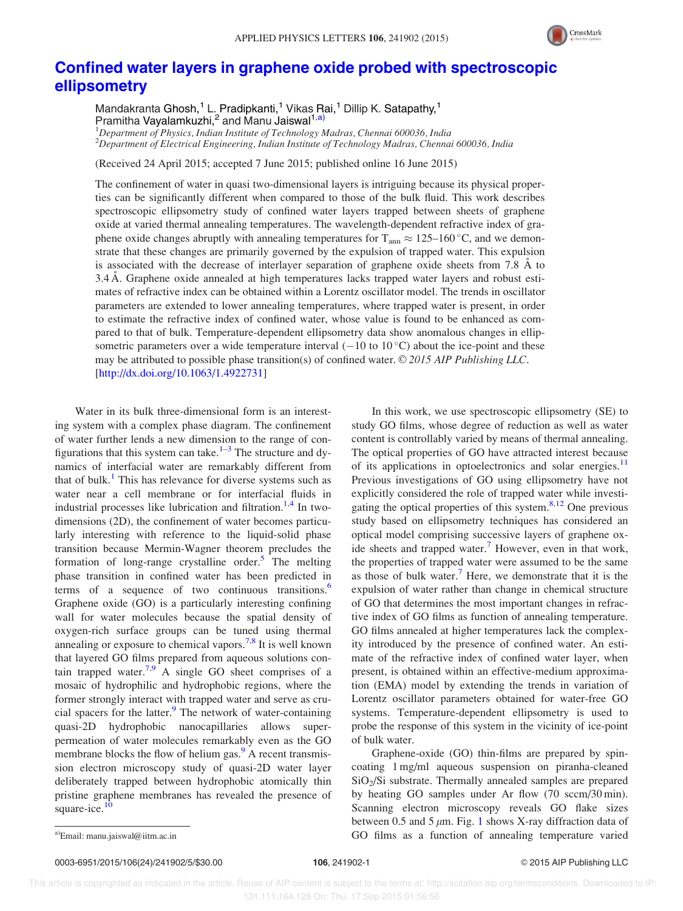

## Confined water layers in graphene oxide probed with spectroscopic ellipsometry

Mandakranta Ghosh,<sup>1</sup> L. Pradipkanti,<sup>1</sup> Vikas Rai,<sup>1</sup> Dillip K. Satapathy,<sup>1</sup> Pramitha Vayalamkuzhi,<sup>2</sup> and Manu Jaiswal<sup>1,a)</sup>

 $1$ Department of Physics, Indian Institute of Technology Madras, Chennai 600036, India  $^{2}$ Department of Electrical Engineering, Indian Institute of Technology Madras, Chennai 600036, India

(Received 24 April 2015; accepted 7 June 2015; published online 16 June 2015)

The confinement of water in quasi two-dimensional layers is intriguing because its physical properties can be significantly different when compared to those of the bulk fluid. This work describes spectroscopic ellipsometry study of confined water layers trapped between sheets of graphene oxide at varied thermal annealing temperatures. The wavelength-dependent refractive index of graphene oxide changes abruptly with annealing temperatures for  $T_{\text{ann}} \approx 125-160 \degree C$ , and we demonstrate that these changes are primarily governed by the expulsion of trapped water. This expulsion is associated with the decrease of interlayer separation of graphene oxide sheets from 7.8 Å to 3.4 Å. Graphene oxide annealed at high temperatures lacks trapped water layers and robust estimates of refractive index can be obtained within a Lorentz oscillator model. The trends in oscillator parameters are extended to lower annealing temperatures, where trapped water is present, in order to estimate the refractive index of confined water, whose value is found to be enhanced as compared to that of bulk. Temperature-dependent ellipsometry data show anomalous changes in ellipsometric parameters over a wide temperature interval  $(-10 \text{ to } 10 \degree \text{C})$  about the ice-point and these may be attributed to possible phase transition(s) of confined water.  $\odot$  2015 AIP Publishing LLC. [http://dx.doi.org/10.1063/1.4922731]

Water in its bulk three-dimensional form is an interesting system with a complex phase diagram. The confinement of water further lends a new dimension to the range of configurations that this system can take. $1-3$  The structure and dynamics of interfacial water are remarkably different from that of bulk.<sup>1</sup> This has relevance for diverse systems such as water near a cell membrane or for interfacial fluids in industrial processes like lubrication and filtration.<sup>1,4</sup> In twodimensions (2D), the confinement of water becomes particularly interesting with reference to the liquid-solid phase transition because Mermin-Wagner theorem precludes the formation of long-range crystalline order.<sup>5</sup> The melting phase transition in confined water has been predicted in terms of a sequence of two continuous transitions. $6$ Graphene oxide (GO) is a particularly interesting confining wall for water molecules because the spatial density of oxygen-rich surface groups can be tuned using thermal annealing or exposure to chemical vapors.<sup>7,8</sup> It is well known that layered GO films prepared from aqueous solutions contain trapped water.<sup>7,9</sup> A single GO sheet comprises of a mosaic of hydrophilic and hydrophobic regions, where the former strongly interact with trapped water and serve as crucial spacers for the latter.<sup>9</sup> The network of water-containing quasi-2D hydrophobic nanocapillaries allows superpermeation of water molecules remarkably even as the GO membrane blocks the flow of helium gas. $\frac{9}{2}$  A recent transmission electron microscopy study of quasi-2D water layer deliberately trapped between hydrophobic atomically thin pristine graphene membranes has revealed the presence of square-ice. $10$ 

In this work, we use spectroscopic ellipsometry (SE) to study GO films, whose degree of reduction as well as water content is controllably varied by means of thermal annealing. The optical properties of GO have attracted interest because of its applications in optoelectronics and solar energies.<sup>11</sup> Previous investigations of GO using ellipsometry have not explicitly considered the role of trapped water while investigating the optical properties of this system. $8,12$  One previous study based on ellipsometry techniques has considered an optical model comprising successive layers of graphene oxide sheets and trapped water.<sup>7</sup> However, even in that work, the properties of trapped water were assumed to be the same as those of bulk water.<sup>7</sup> Here, we demonstrate that it is the expulsion of water rather than change in chemical structure of GO that determines the most important changes in refractive index of GO films as function of annealing temperature. GO films annealed at higher temperatures lack the complexity introduced by the presence of confined water. An estimate of the refractive index of confined water layer, when present, is obtained within an effective-medium approximation (EMA) model by extending the trends in variation of Lorentz oscillator parameters obtained for water-free GO systems. Temperature-dependent ellipsometry is used to probe the response of this system in the vicinity of ice-point of bulk water.

Graphene-oxide (GO) thin-films are prepared by spincoating 1 mg/ml aqueous suspension on piranha-cleaned SiO2/Si substrate. Thermally annealed samples are prepared by heating GO samples under Ar flow (70 sccm/30 min). Scanning electron microscopy reveals GO flake sizes between 0.5 and 5  $\mu$ m. Fig. 1 shows X-ray diffraction data of a)Email: manu.jaiswal@iitm.ac.in **a)**Email: manu.jaiswal@iitm.ac.in **a)**Email: manu.jaiswal@iitm.ac.in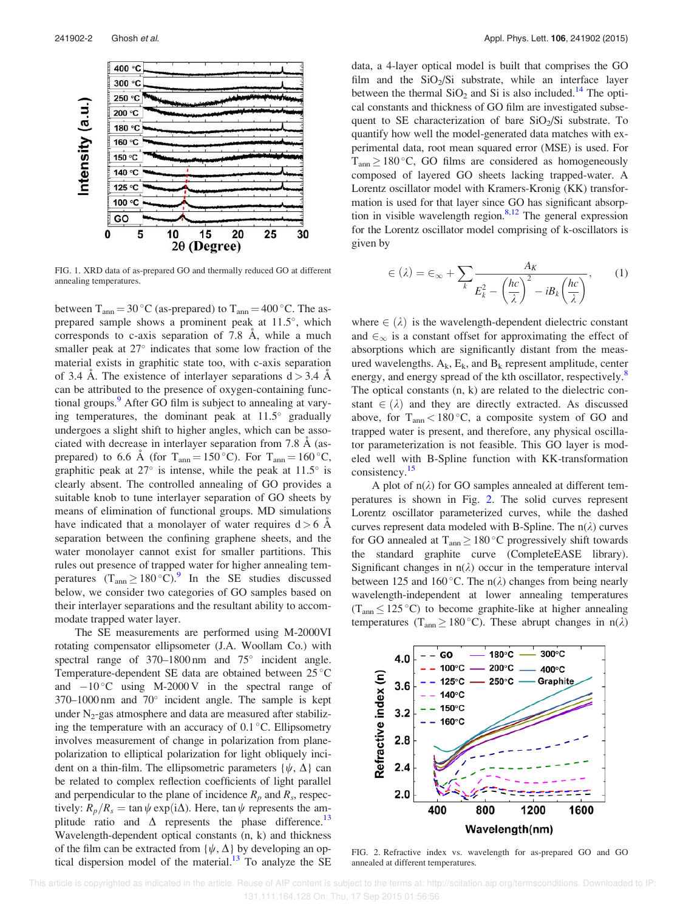

FIG. 1. XRD data of as-prepared GO and thermally reduced GO at different annealing temperatures.

between  $T_{ann} = 30 \degree C$  (as-prepared) to  $T_{ann} = 400 \degree C$ . The asprepared sample shows a prominent peak at 11.5°, which  $\overline{\text{corresponds}}$  to c-axis separation of 7.8 Å, while a much smaller peak at 27° indicates that some low fraction of the material exists in graphitic state too, with c-axis separation of 3.4 Å. The existence of interlayer separations  $d > 3.4$  Å can be attributed to the presence of oxygen-containing functional groups.<sup>9</sup> After GO film is subject to annealing at varying temperatures, the dominant peak at  $11.5^\circ$  gradually undergoes a slight shift to higher angles, which can be associated with decrease in interlayer separation from 7.8 Å (asprepared) to 6.6 Å (for  $T_{\text{ann}} = 150^{\circ}$ C). For  $T_{\text{ann}} = 160^{\circ}$ C, graphitic peak at  $27^{\circ}$  is intense, while the peak at  $11.5^{\circ}$  is clearly absent. The controlled annealing of GO provides a suitable knob to tune interlayer separation of GO sheets by means of elimination of functional groups. MD simulations have indicated that a monolayer of water requires  $d > 6$  A separation between the confining graphene sheets, and the water monolayer cannot exist for smaller partitions. This rules out presence of trapped water for higher annealing temperatures  $(T_{\text{ann}} \ge 180 \degree C)^9$  In the SE studies discussed below, we consider two categories of GO samples based on their interlayer separations and the resultant ability to accommodate trapped water layer.

The SE measurements are performed using M-2000VI rotating compensator ellipsometer (J.A. Woollam Co.) with spectral range of 370–1800 nm and 75° incident angle. Temperature-dependent SE data are obtained between 25 °C and  $-10^{\circ}$ C using M-2000 V in the spectral range of  $370-1000$  nm and  $70^{\circ}$  incident angle. The sample is kept under  $N_2$ -gas atmosphere and data are measured after stabilizing the temperature with an accuracy of  $0.1\degree C$ . Ellipsometry involves measurement of change in polarization from planepolarization to elliptical polarization for light obliquely incident on a thin-film. The ellipsometric parameters  $\{\psi, \Delta\}$  can be related to complex reflection coefficients of light parallel and perpendicular to the plane of incidence  $R_p$  and  $R_s$ , respectively:  $R_p/R_s = \tan \psi \exp(i\Delta)$ . Here, tan  $\psi$  represents the amplitude ratio and  $\Delta$  represents the phase difference.<sup>13</sup> Wavelength-dependent optical constants (n, k) and thickness of the film can be extracted from  $\{\psi, \Delta\}$  by developing an optical dispersion model of the material. $13$  To analyze the SE data, a 4-layer optical model is built that comprises the GO film and the  $SiO<sub>2</sub>/Si$  substrate, while an interface layer between the thermal  $SiO<sub>2</sub>$  and Si is also included.<sup>14</sup> The optical constants and thickness of GO film are investigated subsequent to SE characterization of bare  $SiO<sub>2</sub>/Si$  substrate. To quantify how well the model-generated data matches with experimental data, root mean squared error (MSE) is used. For  $T_{\text{ann}} \geq 180 \degree C$ , GO films are considered as homogeneously composed of layered GO sheets lacking trapped-water. A Lorentz oscillator model with Kramers-Kronig (KK) transformation is used for that layer since GO has significant absorption in visible wavelength region.<sup>8,12</sup> The general expression for the Lorentz oscillator model comprising of k-oscillators is given by

$$
\in (\lambda) = \epsilon_{\infty} + \sum_{k} \frac{A_{K}}{E_{k}^{2} - \left(\frac{hc}{\lambda}\right)^{2} - iB_{k}\left(\frac{hc}{\lambda}\right)},
$$
 (1)

where  $\in (\lambda)$  is the wavelength-dependent dielectric constant and  $\epsilon_{\infty}$  is a constant offset for approximating the effect of absorptions which are significantly distant from the measured wavelengths.  $A_k$ ,  $E_k$ , and  $B_k$  represent amplitude, center energy, and energy spread of the kth oscillator, respectively.<sup>8</sup> The optical constants (n, k) are related to the dielectric constant  $\in (\lambda)$  and they are directly extracted. As discussed above, for  $T_{\text{ann}} < 180^{\circ}$ C, a composite system of GO and trapped water is present, and therefore, any physical oscillator parameterization is not feasible. This GO layer is modeled well with B-Spline function with KK-transformation consistency.<sup>15</sup>

A plot of  $n(\lambda)$  for GO samples annealed at different temperatures is shown in Fig. 2. The solid curves represent Lorentz oscillator parameterized curves, while the dashed curves represent data modeled with B-Spline. The  $n(\lambda)$  curves for GO annealed at  $T_{\text{ann}} \geq 180 \degree C$  progressively shift towards the standard graphite curve (CompleteEASE library). Significant changes in  $n(\lambda)$  occur in the temperature interval between 125 and 160 °C. The n( $\lambda$ ) changes from being nearly wavelength-independent at lower annealing temperatures  $(T_{\text{ann}} \leq 125 \degree C)$  to become graphite-like at higher annealing temperatures (T<sub>ann</sub>  $\geq 180^{\circ}$ C). These abrupt changes in n( $\lambda$ )



FIG. 2. Refractive index vs. wavelength for as-prepared GO and GO annealed at different temperatures.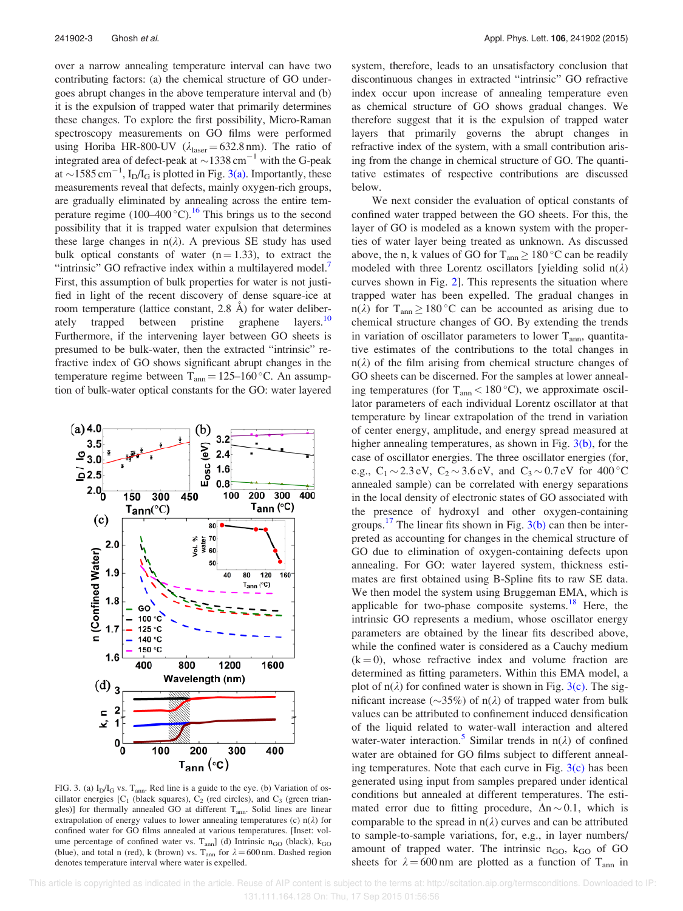over a narrow annealing temperature interval can have two contributing factors: (a) the chemical structure of GO undergoes abrupt changes in the above temperature interval and (b) it is the expulsion of trapped water that primarily determines these changes. To explore the first possibility, Micro-Raman spectroscopy measurements on GO films were performed using Horiba HR-800-UV ( $\lambda_{\text{laser}} = 632.8 \text{ nm}$ ). The ratio of integrated area of defect-peak at  $\sim$ 1338 cm<sup>-1</sup> with the G-peak at  $\sim$ 1585 cm<sup>-1</sup>, I<sub>D</sub>/I<sub>G</sub> is plotted in Fig. 3(a). Importantly, these measurements reveal that defects, mainly oxygen-rich groups, are gradually eliminated by annealing across the entire temperature regime (100–400 °C).<sup>16</sup> This brings us to the second possibility that it is trapped water expulsion that determines these large changes in  $n(\lambda)$ . A previous SE study has used bulk optical constants of water  $(n = 1.33)$ , to extract the "intrinsic" GO refractive index within a multilayered model." First, this assumption of bulk properties for water is not justified in light of the recent discovery of dense square-ice at room temperature (lattice constant, 2.8 Å) for water deliberately trapped between pristine graphene layers.<sup>10</sup> Furthermore, if the intervening layer between GO sheets is presumed to be bulk-water, then the extracted "intrinsic" refractive index of GO shows significant abrupt changes in the temperature regime between  $T_{\text{ann}} = 125{\text -}160^{\circ}$ C. An assumption of bulk-water optical constants for the GO: water layered



FIG. 3. (a)  $I_D/I_G$  vs. T<sub>ann</sub>. Red line is a guide to the eye. (b) Variation of oscillator energies  $[C_1$  (black squares),  $C_2$  (red circles), and  $C_3$  (green triangles)] for thermally annealed GO at different T<sub>ann</sub>. Solid lines are linear extrapolation of energy values to lower annealing temperatures (c)  $n(\lambda)$  for confined water for GO films annealed at various temperatures. [Inset: volume percentage of confined water vs. T<sub>ann</sub>] (d) Intrinsic  $n_{GO}$  (black),  $k_{GO}$ (blue), and total n (red), k (brown) vs. T<sub>ann</sub> for  $\lambda = 600$  nm. Dashed region denotes temperature interval where water is expelled.

system, therefore, leads to an unsatisfactory conclusion that discontinuous changes in extracted "intrinsic" GO refractive index occur upon increase of annealing temperature even as chemical structure of GO shows gradual changes. We therefore suggest that it is the expulsion of trapped water layers that primarily governs the abrupt changes in refractive index of the system, with a small contribution arising from the change in chemical structure of GO. The quantitative estimates of respective contributions are discussed below.

We next consider the evaluation of optical constants of confined water trapped between the GO sheets. For this, the layer of GO is modeled as a known system with the properties of water layer being treated as unknown. As discussed above, the n, k values of GO for  $T_{ann} \ge 180^{\circ}$ C can be readily modeled with three Lorentz oscillators [yielding solid  $n(\lambda)$ curves shown in Fig. 2]. This represents the situation where trapped water has been expelled. The gradual changes in n( $\lambda$ ) for T<sub>ann</sub>  $\geq$  180 °C can be accounted as arising due to chemical structure changes of GO. By extending the trends in variation of oscillator parameters to lower  $T_{\text{ann}}$ , quantitative estimates of the contributions to the total changes in  $n(\lambda)$  of the film arising from chemical structure changes of GO sheets can be discerned. For the samples at lower annealing temperatures (for  $T_{\text{ann}} < 180^{\circ}$ C), we approximate oscillator parameters of each individual Lorentz oscillator at that temperature by linear extrapolation of the trend in variation of center energy, amplitude, and energy spread measured at higher annealing temperatures, as shown in Fig. 3(b), for the case of oscillator energies. The three oscillator energies (for, e.g.,  $C_1 \sim 2.3 \text{ eV}$ ,  $C_2 \sim 3.6 \text{ eV}$ , and  $C_3 \sim 0.7 \text{ eV}$  for 400 °C annealed sample) can be correlated with energy separations in the local density of electronic states of GO associated with the presence of hydroxyl and other oxygen-containing groups.<sup>17</sup> The linear fits shown in Fig.  $3(b)$  can then be interpreted as accounting for changes in the chemical structure of GO due to elimination of oxygen-containing defects upon annealing. For GO: water layered system, thickness estimates are first obtained using B-Spline fits to raw SE data. We then model the system using Bruggeman EMA, which is applicable for two-phase composite systems.<sup>18</sup> Here, the intrinsic GO represents a medium, whose oscillator energy parameters are obtained by the linear fits described above, while the confined water is considered as a Cauchy medium  $(k = 0)$ , whose refractive index and volume fraction are determined as fitting parameters. Within this EMA model, a plot of  $n(\lambda)$  for confined water is shown in Fig. 3(c). The significant increase ( $\sim$ 35%) of n( $\lambda$ ) of trapped water from bulk values can be attributed to confinement induced densification of the liquid related to water-wall interaction and altered water-water interaction.<sup>5</sup> Similar trends in  $n(\lambda)$  of confined water are obtained for GO films subject to different annealing temperatures. Note that each curve in Fig.  $3(c)$  has been generated using input from samples prepared under identical conditions but annealed at different temperatures. The estimated error due to fitting procedure,  $\Delta n \sim 0.1$ , which is comparable to the spread in  $n(\lambda)$  curves and can be attributed to sample-to-sample variations, for, e.g., in layer numbers/ amount of trapped water. The intrinsic  $n_{\text{GO}}$ ,  $k_{\text{GO}}$  of GO sheets for  $\lambda = 600$  nm are plotted as a function of T<sub>ann</sub> in

 This article is copyrighted as indicated in the article. Reuse of AIP content is subject to the terms at: http://scitation.aip.org/termsconditions. Downloaded to IP: 131.111.164.128 On: Thu, 17 Sep 2015 01:56:56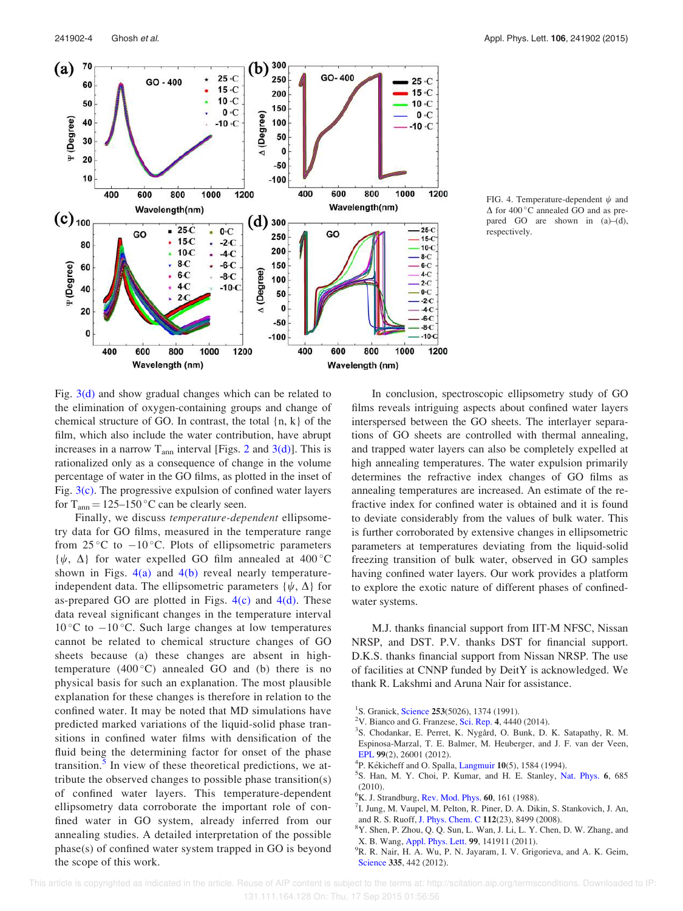

FIG. 4. Temperature-dependent  $\psi$  and  $\triangle$  for 400 °C annealed GO and as prepared GO are shown in (a)–(d), respectively.

Fig. 3(d) and show gradual changes which can be related to the elimination of oxygen-containing groups and change of chemical structure of GO. In contrast, the total  $\{n, k\}$  of the film, which also include the water contribution, have abrupt increases in a narrow  $T_{ann}$  interval [Figs. 2 and  $3(d)$ ]. This is rationalized only as a consequence of change in the volume percentage of water in the GO films, as plotted in the inset of Fig.  $3(c)$ . The progressive expulsion of confined water layers for  $T_{\text{ann}} = 125-150$  °C can be clearly seen.

Finally, we discuss temperature-dependent ellipsometry data for GO films, measured in the temperature range from  $25^{\circ}$ C to  $-10^{\circ}$ C. Plots of ellipsometric parameters  $\{\psi, \Delta\}$  for water expelled GO film annealed at 400 °C shown in Figs.  $4(a)$  and  $4(b)$  reveal nearly temperatureindependent data. The ellipsometric parameters  $\{\psi, \Delta\}$  for as-prepared GO are plotted in Figs.  $4(c)$  and  $4(d)$ . These data reveal significant changes in the temperature interval  $10^{\circ}$ C to  $-10^{\circ}$ C. Such large changes at low temperatures cannot be related to chemical structure changes of GO sheets because (a) these changes are absent in hightemperature  $(400\degree C)$  annealed GO and (b) there is no physical basis for such an explanation. The most plausible explanation for these changes is therefore in relation to the confined water. It may be noted that MD simulations have predicted marked variations of the liquid-solid phase transitions in confined water films with densification of the fluid being the determining factor for onset of the phase transition.<sup>5</sup> In view of these theoretical predictions, we attribute the observed changes to possible phase transition(s) of confined water layers. This temperature-dependent ellipsometry data corroborate the important role of confined water in GO system, already inferred from our annealing studies. A detailed interpretation of the possible phase(s) of confined water system trapped in GO is beyond the scope of this work.

In conclusion, spectroscopic ellipsometry study of GO films reveals intriguing aspects about confined water layers interspersed between the GO sheets. The interlayer separations of GO sheets are controlled with thermal annealing, and trapped water layers can also be completely expelled at high annealing temperatures. The water expulsion primarily determines the refractive index changes of GO films as annealing temperatures are increased. An estimate of the refractive index for confined water is obtained and it is found to deviate considerably from the values of bulk water. This is further corroborated by extensive changes in ellipsometric parameters at temperatures deviating from the liquid-solid freezing transition of bulk water, observed in GO samples having confined water layers. Our work provides a platform to explore the exotic nature of different phases of confinedwater systems.

M.J. thanks financial support from IIT-M NFSC, Nissan NRSP, and DST. P.V. thanks DST for financial support. D.K.S. thanks financial support from Nissan NRSP. The use of facilities at CNNP funded by DeitY is acknowledged. We thank R. Lakshmi and Aruna Nair for assistance.

- <sup>1</sup>S. Granick, Science 253(5026), 1374 (1991).
- $2V$ . Bianco and G. Franzese, Sci. Rep. 4, 4440 (2014).
- <sup>3</sup>S. Chodankar, E. Perret, K. Nygård, O. Bunk, D. K. Satapathy, R. M. Espinosa-Marzal, T. E. Balmer, M. Heuberger, and J. F. van der Veen, EPL 99(2), 26001 (2012).
- ${}^{4}P$ . Kékicheff and O. Spalla, Langmuir 10(5), 1584 (1994).
- 5 S. Han, M. Y. Choi, P. Kumar, and H. E. Stanley, Nat. Phys. 6, 685 (2010).
- ${}^{6}$ K. J. Strandburg, Rev. Mod. Phys. 60, 161 (1988).
- 7 I. Jung, M. Vaupel, M. Pelton, R. Piner, D. A. Dikin, S. Stankovich, J. An, and R. S. Ruoff, J. Phys. Chem. C 112(23), 8499 (2008).
- ${}^{8}Y$ . Shen, P. Zhou, Q. Q. Sun, L. Wan, J. Li, L. Y. Chen, D. W. Zhang, and X. B. Wang, Appl. Phys. Lett. 99, 141911 (2011).

<sup>9</sup>R. R. Nair, H. A. Wu, P. N. Jayaram, I. V. Grigorieva, and A. K. Geim, Science 335, 442 (2012).